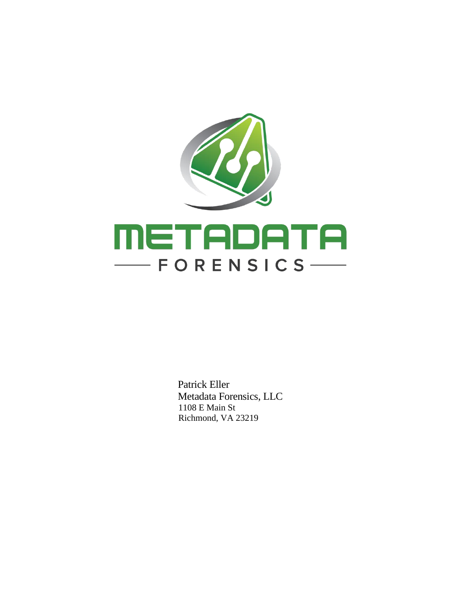

 Patrick Eller Metadata Forensics, LLC 1108 E Main St Richmond, VA 23219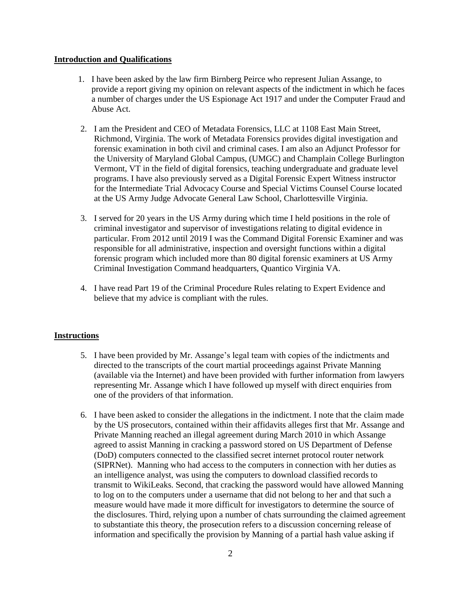## **Introduction and Qualifications**

- 1. I have been asked by the law firm Birnberg Peirce who represent Julian Assange, to provide a report giving my opinion on relevant aspects of the indictment in which he faces a number of charges under the US Espionage Act 1917 and under the Computer Fraud and Abuse Act.
- 2. I am the President and CEO of Metadata Forensics, LLC at 1108 East Main Street, Richmond, Virginia. The work of Metadata Forensics provides digital investigation and forensic examination in both civil and criminal cases. I am also an Adjunct Professor for the University of Maryland Global Campus, (UMGC) and Champlain College Burlington Vermont, VT in the field of digital forensics, teaching undergraduate and graduate level programs. I have also previously served as a Digital Forensic Expert Witness instructor for the Intermediate Trial Advocacy Course and Special Victims Counsel Course located at the US Army Judge Advocate General Law School, Charlottesville Virginia.
- 3. I served for 20 years in the US Army during which time I held positions in the role of criminal investigator and supervisor of investigations relating to digital evidence in particular. From 2012 until 2019 I was the Command Digital Forensic Examiner and was responsible for all administrative, inspection and oversight functions within a digital forensic program which included more than 80 digital forensic examiners at US Army Criminal Investigation Command headquarters, Quantico Virginia VA.
- 4. I have read Part 19 of the Criminal Procedure Rules relating to Expert Evidence and believe that my advice is compliant with the rules.

## **Instructions**

- 5. I have been provided by Mr. Assange's legal team with copies of the indictments and directed to the transcripts of the court martial proceedings against Private Manning (available via the Internet) and have been provided with further information from lawyers representing Mr. Assange which I have followed up myself with direct enquiries from one of the providers of that information.
- 6. I have been asked to consider the allegations in the indictment. I note that the claim made by the US prosecutors, contained within their affidavits alleges first that Mr. Assange and Private Manning reached an illegal agreement during March 2010 in which Assange agreed to assist Manning in cracking a password stored on US Department of Defense (DoD) computers connected to the classified secret internet protocol router network (SIPRNet). Manning who had access to the computers in connection with her duties as an intelligence analyst, was using the computers to download classified records to transmit to WikiLeaks. Second, that cracking the password would have allowed Manning to log on to the computers under a username that did not belong to her and that such a measure would have made it more difficult for investigators to determine the source of the disclosures. Third, relying upon a number of chats surrounding the claimed agreement to substantiate this theory, the prosecution refers to a discussion concerning release of information and specifically the provision by Manning of a partial hash value asking if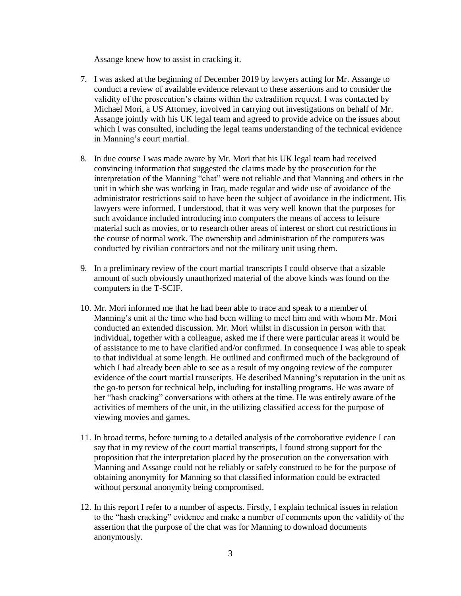Assange knew how to assist in cracking it.

- 7. I was asked at the beginning of December 2019 by lawyers acting for Mr. Assange to conduct a review of available evidence relevant to these assertions and to consider the validity of the prosecution's claims within the extradition request. I was contacted by Michael Mori, a US Attorney, involved in carrying out investigations on behalf of Mr. Assange jointly with his UK legal team and agreed to provide advice on the issues about which I was consulted, including the legal teams understanding of the technical evidence in Manning's court martial.
- 8. In due course I was made aware by Mr. Mori that his UK legal team had received convincing information that suggested the claims made by the prosecution for the interpretation of the Manning "chat" were not reliable and that Manning and others in the unit in which she was working in Iraq, made regular and wide use of avoidance of the administrator restrictions said to have been the subject of avoidance in the indictment. His lawyers were informed, I understood, that it was very well known that the purposes for such avoidance included introducing into computers the means of access to leisure material such as movies, or to research other areas of interest or short cut restrictions in the course of normal work. The ownership and administration of the computers was conducted by civilian contractors and not the military unit using them.
- 9. In a preliminary review of the court martial transcripts I could observe that a sizable amount of such obviously unauthorized material of the above kinds was found on the computers in the T-SCIF.
- 10. Mr. Mori informed me that he had been able to trace and speak to a member of Manning's unit at the time who had been willing to meet him and with whom Mr. Mori conducted an extended discussion. Mr. Mori whilst in discussion in person with that individual, together with a colleague, asked me if there were particular areas it would be of assistance to me to have clarified and/or confirmed. In consequence I was able to speak to that individual at some length. He outlined and confirmed much of the background of which I had already been able to see as a result of my ongoing review of the computer evidence of the court martial transcripts. He described Manning's reputation in the unit as the go-to person for technical help, including for installing programs. He was aware of her "hash cracking" conversations with others at the time. He was entirely aware of the activities of members of the unit, in the utilizing classified access for the purpose of viewing movies and games.
- 11. In broad terms, before turning to a detailed analysis of the corroborative evidence I can say that in my review of the court martial transcripts, I found strong support for the proposition that the interpretation placed by the prosecution on the conversation with Manning and Assange could not be reliably or safely construed to be for the purpose of obtaining anonymity for Manning so that classified information could be extracted without personal anonymity being compromised.
- 12. In this report I refer to a number of aspects. Firstly, I explain technical issues in relation to the "hash cracking" evidence and make a number of comments upon the validity of the assertion that the purpose of the chat was for Manning to download documents anonymously.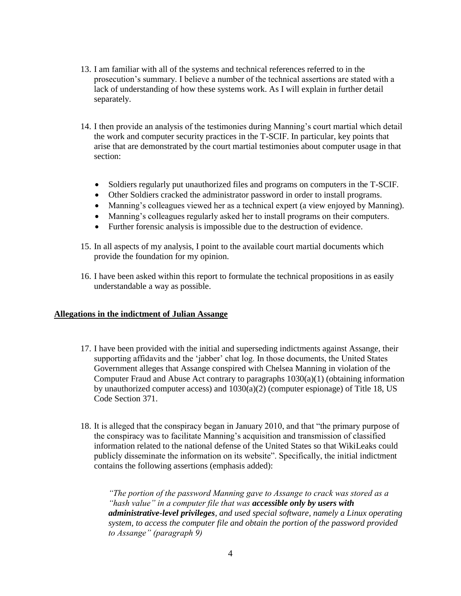- 13. I am familiar with all of the systems and technical references referred to in the prosecution's summary. I believe a number of the technical assertions are stated with a lack of understanding of how these systems work. As I will explain in further detail separately.
- 14. I then provide an analysis of the testimonies during Manning's court martial which detail the work and computer security practices in the T-SCIF. In particular, key points that arise that are demonstrated by the court martial testimonies about computer usage in that section:
	- Soldiers regularly put unauthorized files and programs on computers in the T-SCIF.
	- Other Soldiers cracked the administrator password in order to install programs.
	- Manning's colleagues viewed her as a technical expert (a view enjoyed by Manning).
	- Manning's colleagues regularly asked her to install programs on their computers.
	- Further forensic analysis is impossible due to the destruction of evidence.
- 15. In all aspects of my analysis, I point to the available court martial documents which provide the foundation for my opinion.
- 16. I have been asked within this report to formulate the technical propositions in as easily understandable a way as possible.

## **Allegations in the indictment of Julian Assange**

- 17. I have been provided with the initial and superseding indictments against Assange, their supporting affidavits and the 'jabber' chat log. In those documents, the United States Government alleges that Assange conspired with Chelsea Manning in violation of the Computer Fraud and Abuse Act contrary to paragraphs  $1030(a)(1)$  (obtaining information by unauthorized computer access) and 1030(a)(2) (computer espionage) of Title 18, US Code Section 371.
- 18. It is alleged that the conspiracy began in January 2010, and that "the primary purpose of the conspiracy was to facilitate Manning's acquisition and transmission of classified information related to the national defense of the United States so that WikiLeaks could publicly disseminate the information on its website". Specifically, the initial indictment contains the following assertions (emphasis added):

*"The portion of the password Manning gave to Assange to crack was stored as a "hash value" in a computer file that was accessible only by users with administrative-level privileges, and used special software, namely a Linux operating system, to access the computer file and obtain the portion of the password provided to Assange" (paragraph 9)*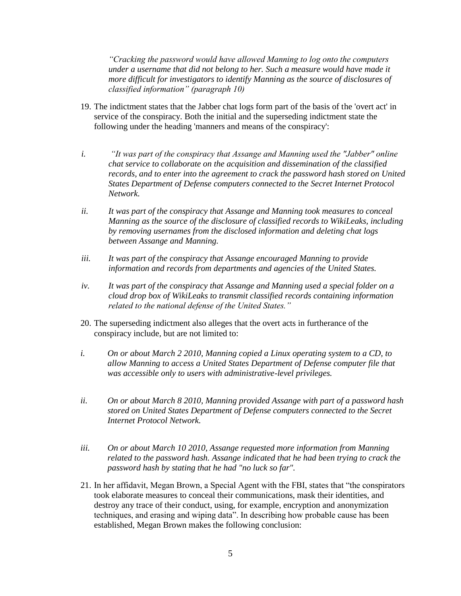*"Cracking the password would have allowed Manning to log onto the computers under a username that did not belong to her. Such a measure would have made it more difficult for investigators to identify Manning as the source of disclosures of classified information" (paragraph 10)*

- 19. The indictment states that the Jabber chat logs form part of the basis of the 'overt act' in service of the conspiracy. Both the initial and the superseding indictment state the following under the heading 'manners and means of the conspiracy':
- *i. "It was part of the conspiracy that Assange and Manning used the "Jabber" online chat service to collaborate on the acquisition and dissemination of the classified*  records, and to enter into the agreement to crack the password hash stored on United *States Department of Defense computers connected to the Secret Internet Protocol Network.*
- *ii. It was part of the conspiracy that Assange and Manning took measures to conceal Manning as the source of the disclosure of classified records to WikiLeaks, including by removing usernames from the disclosed information and deleting chat logs between Assange and Manning.*
- *iii. It was part of the conspiracy that Assange encouraged Manning to provide information and records from departments and agencies of the United States.*
- *iv. It was part of the conspiracy that Assange and Manning used a special folder on a cloud drop box of WikiLeaks to transmit classified records containing information related to the national defense of the United States."*
- 20. The superseding indictment also alleges that the overt acts in furtherance of the conspiracy include, but are not limited to:
- *i. On or about March 2 2010, Manning copied a Linux operating system to a CD, to allow Manning to access a United States Department of Defense computer file that was accessible only to users with administrative-level privileges.*
- *ii. On or about March 8 2010, Manning provided Assange with part of a password hash stored on United States Department of Defense computers connected to the Secret Internet Protocol Network.*
- *iii. On or about March 10 2010, Assange requested more information from Manning related to the password hash. Assange indicated that he had been trying to crack the password hash by stating that he had "no luck so far".*
- 21. In her affidavit, Megan Brown, a Special Agent with the FBI, states that "the conspirators took elaborate measures to conceal their communications, mask their identities, and destroy any trace of their conduct, using, for example, encryption and anonymization techniques, and erasing and wiping data". In describing how probable cause has been established, Megan Brown makes the following conclusion: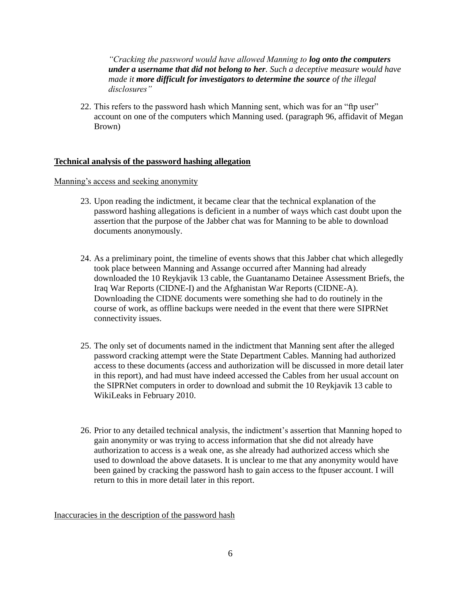*"Cracking the password would have allowed Manning to log onto the computers under a username that did not belong to her. Such a deceptive measure would have made it more difficult for investigators to determine the source of the illegal disclosures"*

22. This refers to the password hash which Manning sent, which was for an "ftp user" account on one of the computers which Manning used. (paragraph 96, affidavit of Megan Brown)

# **Technical analysis of the password hashing allegation**

Manning's access and seeking anonymity

- 23. Upon reading the indictment, it became clear that the technical explanation of the password hashing allegations is deficient in a number of ways which cast doubt upon the assertion that the purpose of the Jabber chat was for Manning to be able to download documents anonymously.
- 24. As a preliminary point, the timeline of events shows that this Jabber chat which allegedly took place between Manning and Assange occurred after Manning had already downloaded the 10 Reykjavik 13 cable, the Guantanamo Detainee Assessment Briefs, the Iraq War Reports (CIDNE-I) and the Afghanistan War Reports (CIDNE-A). Downloading the CIDNE documents were something she had to do routinely in the course of work, as offline backups were needed in the event that there were SIPRNet connectivity issues.
- 25. The only set of documents named in the indictment that Manning sent after the alleged password cracking attempt were the State Department Cables. Manning had authorized access to these documents (access and authorization will be discussed in more detail later in this report), and had must have indeed accessed the Cables from her usual account on the SIPRNet computers in order to download and submit the 10 Reykjavik 13 cable to WikiLeaks in February 2010.
- 26. Prior to any detailed technical analysis, the indictment's assertion that Manning hoped to gain anonymity or was trying to access information that she did not already have authorization to access is a weak one, as she already had authorized access which she used to download the above datasets. It is unclear to me that any anonymity would have been gained by cracking the password hash to gain access to the ftpuser account. I will return to this in more detail later in this report.

Inaccuracies in the description of the password hash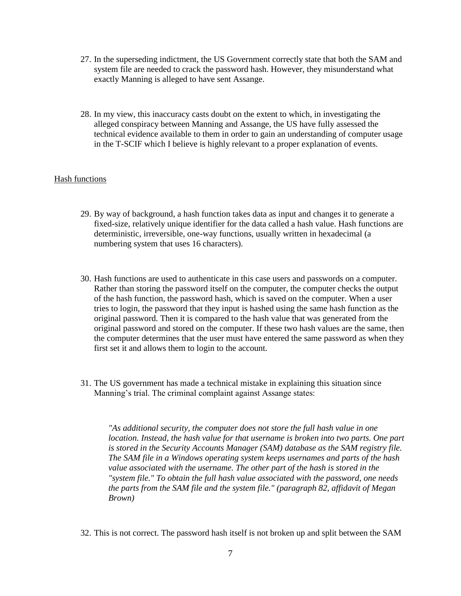- 27. In the superseding indictment, the US Government correctly state that both the SAM and system file are needed to crack the password hash. However, they misunderstand what exactly Manning is alleged to have sent Assange.
- 28. In my view, this inaccuracy casts doubt on the extent to which, in investigating the alleged conspiracy between Manning and Assange, the US have fully assessed the technical evidence available to them in order to gain an understanding of computer usage in the T-SCIF which I believe is highly relevant to a proper explanation of events.

# Hash functions

- 29. By way of background, a hash function takes data as input and changes it to generate a fixed-size, relatively unique identifier for the data called a hash value. Hash functions are deterministic, irreversible, one-way functions, usually written in hexadecimal (a numbering system that uses 16 characters).
- 30. Hash functions are used to authenticate in this case users and passwords on a computer. Rather than storing the password itself on the computer, the computer checks the output of the hash function, the password hash, which is saved on the computer. When a user tries to login, the password that they input is hashed using the same hash function as the original password. Then it is compared to the hash value that was generated from the original password and stored on the computer. If these two hash values are the same, then the computer determines that the user must have entered the same password as when they first set it and allows them to login to the account.
- 31. The US government has made a technical mistake in explaining this situation since Manning's trial. The criminal complaint against Assange states:

*"As additional security, the computer does not store the full hash value in one location. Instead, the hash value for that username is broken into two parts. One part is stored in the Security Accounts Manager (SAM) database as the SAM registry file. The SAM file in a Windows operating system keeps usernames and parts of the hash*  value associated with the username. The other part of the hash is stored in the *"system file." To obtain the full hash value associated with the password, one needs the parts from the SAM file and the system file." (paragraph 82, affidavit of Megan Brown)*

32. This is not correct. The password hash itself is not broken up and split between the SAM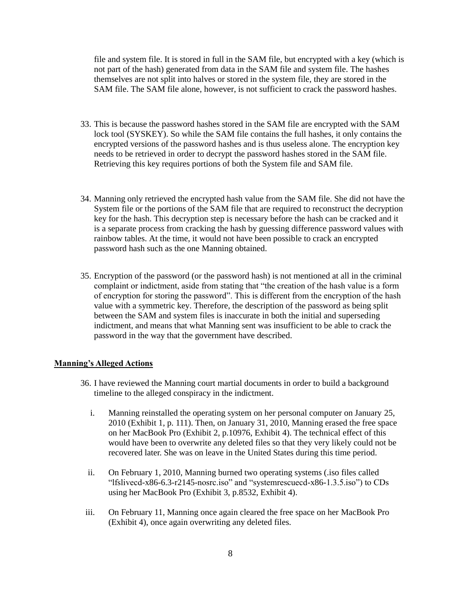file and system file. It is stored in full in the SAM file, but encrypted with a key (which is not part of the hash) generated from data in the SAM file and system file. The hashes themselves are not split into halves or stored in the system file, they are stored in the SAM file. The SAM file alone, however, is not sufficient to crack the password hashes.

- 33. This is because the password hashes stored in the SAM file are encrypted with the SAM lock tool (SYSKEY). So while the SAM file contains the full hashes, it only contains the encrypted versions of the password hashes and is thus useless alone. The encryption key needs to be retrieved in order to decrypt the password hashes stored in the SAM file. Retrieving this key requires portions of both the System file and SAM file.
- 34. Manning only retrieved the encrypted hash value from the SAM file. She did not have the System file or the portions of the SAM file that are required to reconstruct the decryption key for the hash. This decryption step is necessary before the hash can be cracked and it is a separate process from cracking the hash by guessing difference password values with rainbow tables. At the time, it would not have been possible to crack an encrypted password hash such as the one Manning obtained.
- 35. Encryption of the password (or the password hash) is not mentioned at all in the criminal complaint or indictment, aside from stating that "the creation of the hash value is a form of encryption for storing the password". This is different from the encryption of the hash value with a symmetric key. Therefore, the description of the password as being split between the SAM and system files is inaccurate in both the initial and superseding indictment, and means that what Manning sent was insufficient to be able to crack the password in the way that the government have described.

#### **Manning's Alleged Actions**

- 36. I have reviewed the Manning court martial documents in order to build a background timeline to the alleged conspiracy in the indictment.
	- i. Manning reinstalled the operating system on her personal computer on January 25, 2010 (Exhibit 1, p. 111). Then, on January 31, 2010, Manning erased the free space on her MacBook Pro (Exhibit 2, p.10976, Exhibit 4). The technical effect of this would have been to overwrite any deleted files so that they very likely could not be recovered later. She was on leave in the United States during this time period.
	- ii. On February 1, 2010, Manning burned two operating systems (.iso files called "lfslivecd-x86-6.3-r2145-nosrc.iso" and "systemrescuecd-x86-1.3.5.iso") to CDs using her MacBook Pro (Exhibit 3, p.8532, Exhibit 4).
- iii. On February 11, Manning once again cleared the free space on her MacBook Pro (Exhibit 4), once again overwriting any deleted files.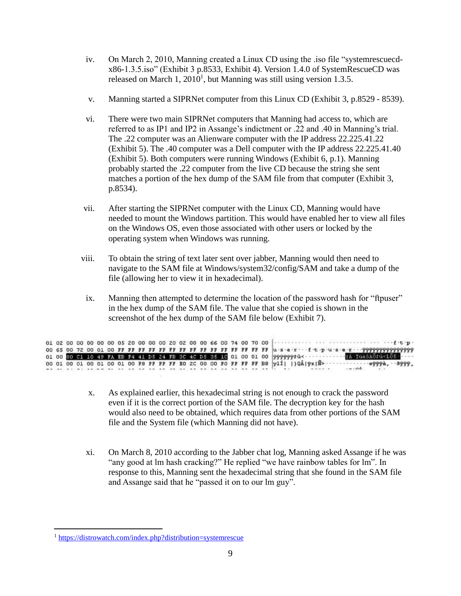- iv. On March 2, 2010, Manning created a Linux CD using the .iso file "systemrescuecdx86-1.3.5.iso" (Exhibit 3 p.8533, Exhibit 4). Version 1.4.0 of SystemRescueCD was released on March 1,  $2010<sup>1</sup>$ , but Manning was still using version 1.3.5.
- v. Manning started a SIPRNet computer from this Linux CD (Exhibit 3, p.8529 8539).
- vi. There were two main SIPRNet computers that Manning had access to, which are referred to as IP1 and IP2 in Assange's indictment or .22 and .40 in Manning's trial. The .22 computer was an Alienware computer with the IP address 22.225.41.22 (Exhibit 5). The .40 computer was a Dell computer with the IP address 22.225.41.40 (Exhibit 5). Both computers were running Windows (Exhibit 6, p.1). Manning probably started the .22 computer from the live CD because the string she sent matches a portion of the hex dump of the SAM file from that computer (Exhibit 3, p.8534).
- vii. After starting the SIPRNet computer with the Linux CD, Manning would have needed to mount the Windows partition. This would have enabled her to view all files on the Windows OS, even those associated with other users or locked by the operating system when Windows was running.
- viii. To obtain the string of text later sent over jabber, Manning would then need to navigate to the SAM file at Windows/system32/config/SAM and take a dump of the file (allowing her to view it in hexadecimal).
- ix. Manning then attempted to determine the location of the password hash for "ftpuser" in the hex dump of the SAM file. The value that she copied is shown in the screenshot of the hex dump of the SAM file below (Exhibit 7).

|  |  |  |  |  |  |  |  |  |  |  | 01 02 00 00 00 00 00 05 20 00 00 00 20 02 00 00 66 00 74 00 70 00 $\cdots$                          |
|--|--|--|--|--|--|--|--|--|--|--|-----------------------------------------------------------------------------------------------------|
|  |  |  |  |  |  |  |  |  |  |  |                                                                                                     |
|  |  |  |  |  |  |  |  |  |  |  |                                                                                                     |
|  |  |  |  |  |  |  |  |  |  |  |                                                                                                     |
|  |  |  |  |  |  |  |  |  |  |  | as a service as a service as as as as as as as as as as as as Britan Calabara - Installation of the |

- x. As explained earlier, this hexadecimal string is not enough to crack the password even if it is the correct portion of the SAM file. The decryption key for the hash would also need to be obtained, which requires data from other portions of the SAM file and the System file (which Manning did not have).
- xi. On March 8, 2010 according to the Jabber chat log, Manning asked Assange if he was "any good at lm hash cracking?" He replied "we have rainbow tables for lm". In response to this, Manning sent the hexadecimal string that she found in the SAM file and Assange said that he "passed it on to our lm guy".

 $\overline{a}$ 

<sup>1</sup> <https://distrowatch.com/index.php?distribution=systemrescue>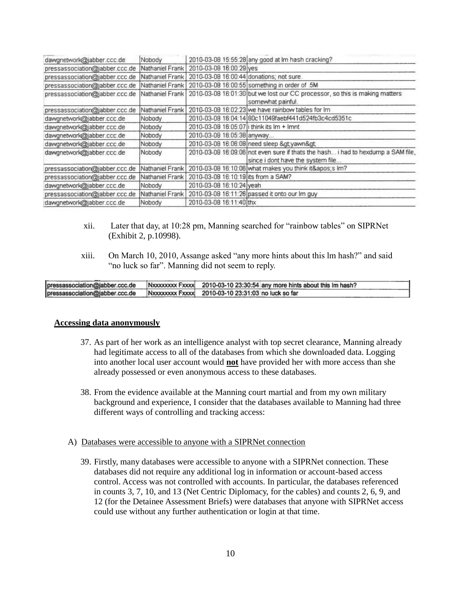| dawgnetwork@jabber.ccc.de      | Nobody          |                                           | 2010-03-08 15:55:28 any good at Im hash cracking?                                                                     |
|--------------------------------|-----------------|-------------------------------------------|-----------------------------------------------------------------------------------------------------------------------|
| pressassociation@jabber.ccc.de | Nathaniel Frank | 2010-03-08 16:00:29 yes                   |                                                                                                                       |
| pressassociation@jabber.ccc.de | Nathaniel Frank | 2010-03-08 16:00:44 donations; not sure.  |                                                                                                                       |
| pressassociation@jabber.ccc.de | Nathaniel Frank |                                           | 2010-03-08 16:00:55 something in order of .5M                                                                         |
| pressassociation@jabber.ccc.de | Nathaniel Frank |                                           | 2010-03-08 16:01:30 but we lost our CC processor, so this is making matters<br>somewhat painful.                      |
| pressassociation@jabber.ccc.de | Nathaniel Frank |                                           | 2010-03-08 16:02:23 we have rainbow tables for Im                                                                     |
| dawgnetwork@jabber.ccc.de      | Nobody          |                                           | 2010-03-08 16:04:14 80c11049faebf441d524fb3c4cd5351c                                                                  |
| dawgnetwork@jabber.ccc.de      | Nobody          | 2010-03-08 16:05:07 i think its Im + Imnt |                                                                                                                       |
| dawgnetwork@jabber.ccc.de      | Nobody          | 2010-03-08 16:05:38 anyway                |                                                                                                                       |
| dawgnetwork@jabber.ccc.de      | Nobody          |                                           | 2010-03-08 16:06:08 need sleep >yawn>                                                                                 |
| dawgnetwork@jabber.ccc.de      | Nobody          |                                           | 2010-03-08 16:09:06 not even sure if thats the hash i had to hexdump a SAM file,<br>since i dont have the system file |
| pressassociation@jabber.ccc.de | Nathaniel Frank |                                           | 2010-03-08 16:10:06 what makes you think it's Im?                                                                     |
| pressassociation@jabber.ccc.de | Nathaniel Frank | 2010-03-08 16:10:19 its from a SAM?       |                                                                                                                       |
| dawgnetwork@jabber.ccc.de      | Nobody          | 2010-03-08 16:10:24 yeah                  |                                                                                                                       |
| pressassociation@jabber.ccc.de | Nathaniel Frank |                                           | 2010-03-08 16:11:26 passed it onto our Im guy                                                                         |
| dawgnetwork@jabber.ccc.de      | Nobody          | 2010-03-08 16:11:40 thx                   |                                                                                                                       |

- xii. Later that day, at 10:28 pm, Manning searched for "rainbow tables" on SIPRNet (Exhibit 2, p.10998).
- xiii. On March 10, 2010, Assange asked "any more hints about this lm hash?" and said "no luck so far". Manning did not seem to reply.

| pressassociation@jabber.ccc.de | Nxxxxxxx Fxxxx 2010-03-10 23:30:54 any more hints about this Im hash? |
|--------------------------------|-----------------------------------------------------------------------|
| pressassociation@jabber.ccc.de | Nxxxxxxxx Fxxxx 2010-03-10 23:31:03 no luck so far                    |

#### **Accessing data anonymously**

- 37. As part of her work as an intelligence analyst with top secret clearance, Manning already had legitimate access to all of the databases from which she downloaded data. Logging into another local user account would **not** have provided her with more access than she already possessed or even anonymous access to these databases.
- 38. From the evidence available at the Manning court martial and from my own military background and experience, I consider that the databases available to Manning had three different ways of controlling and tracking access:
- A) Databases were accessible to anyone with a SIPRNet connection
	- 39. Firstly, many databases were accessible to anyone with a SIPRNet connection. These databases did not require any additional log in information or account-based access control. Access was not controlled with accounts. In particular, the databases referenced in counts 3, 7, 10, and 13 (Net Centric Diplomacy, for the cables) and counts 2, 6, 9, and 12 (for the Detainee Assessment Briefs) were databases that anyone with SIPRNet access could use without any further authentication or login at that time.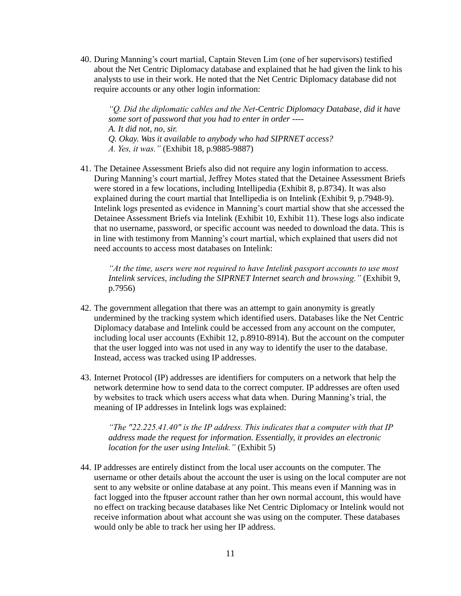40. During Manning's court martial, Captain Steven Lim (one of her supervisors) testified about the Net Centric Diplomacy database and explained that he had given the link to his analysts to use in their work. He noted that the Net Centric Diplomacy database did not require accounts or any other login information:

*"Q. Did the diplomatic cables and the Net-Centric Diplomacy Database, did it have some sort of password that you had to enter in order ---- A. It did not, no, sir. Q. Okay. Was it available to anybody who had SIPRNET access? A. Yes, it was."* (Exhibit 18, p.9885-9887)

41. The Detainee Assessment Briefs also did not require any login information to access. During Manning's court martial, Jeffrey Motes stated that the Detainee Assessment Briefs were stored in a few locations, including Intellipedia (Exhibit 8, p.8734). It was also explained during the court martial that Intellipedia is on Intelink (Exhibit 9, p.7948-9). Intelink logs presented as evidence in Manning's court martial show that she accessed the Detainee Assessment Briefs via Intelink (Exhibit 10, Exhibit 11). These logs also indicate that no username, password, or specific account was needed to download the data. This is in line with testimony from Manning's court martial, which explained that users did not need accounts to access most databases on Intelink:

*"At the time, users were not required to have Intelink passport accounts to use most Intelink services, including the SIPRNET Internet search and browsing."* (Exhibit 9, p.7956)

- 42. The government allegation that there was an attempt to gain anonymity is greatly undermined by the tracking system which identified users. Databases like the Net Centric Diplomacy database and Intelink could be accessed from any account on the computer, including local user accounts (Exhibit 12, p.8910-8914). But the account on the computer that the user logged into was not used in any way to identify the user to the database. Instead, access was tracked using IP addresses.
- 43. Internet Protocol (IP) addresses are identifiers for computers on a network that help the network determine how to send data to the correct computer. IP addresses are often used by websites to track which users access what data when. During Manning's trial, the meaning of IP addresses in Intelink logs was explained:

*"The "22.225.41.40" is the IP address. This indicates that a computer with that IP address made the request for information. Essentially, it provides an electronic location for the user using Intelink."* (Exhibit 5)

44. IP addresses are entirely distinct from the local user accounts on the computer. The username or other details about the account the user is using on the local computer are not sent to any website or online database at any point. This means even if Manning was in fact logged into the ftpuser account rather than her own normal account, this would have no effect on tracking because databases like Net Centric Diplomacy or Intelink would not receive information about what account she was using on the computer. These databases would only be able to track her using her IP address.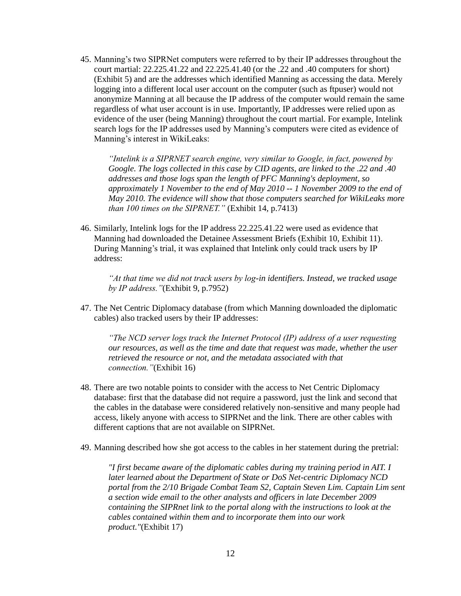45. Manning's two SIPRNet computers were referred to by their IP addresses throughout the court martial: 22.225.41.22 and 22.225.41.40 (or the .22 and .40 computers for short) (Exhibit 5) and are the addresses which identified Manning as accessing the data. Merely logging into a different local user account on the computer (such as ftpuser) would not anonymize Manning at all because the IP address of the computer would remain the same regardless of what user account is in use. Importantly, IP addresses were relied upon as evidence of the user (being Manning) throughout the court martial. For example, Intelink search logs for the IP addresses used by Manning's computers were cited as evidence of Manning's interest in WikiLeaks:

*"Intelink is a SIPRNET search engine, very similar to Google, in fact, powered by Google. The logs collected in this case by CID agents, are linked to the .22 and .40 addresses and those logs span the length of PFC Manning's deployment, so approximately 1 November to the end of May 2010 -- 1 November 2009 to the end of May 2010. The evidence will show that those computers searched for WikiLeaks more than 100 times on the SIPRNET."* (Exhibit 14, p.7413)

46. Similarly, Intelink logs for the IP address 22.225.41.22 were used as evidence that Manning had downloaded the Detainee Assessment Briefs (Exhibit 10, Exhibit 11). During Manning's trial, it was explained that Intelink only could track users by IP address:

*"At that time we did not track users by log-in identifiers. Instead, we tracked usage by IP address."*(Exhibit 9, p.7952)

47. The Net Centric Diplomacy database (from which Manning downloaded the diplomatic cables) also tracked users by their IP addresses:

*"The NCD server logs track the Internet Protocol (IP) address of a user requesting our resources, as well as the time and date that request was made, whether the user retrieved the resource or not, and the metadata associated with that connection."*(Exhibit 16)

- 48. There are two notable points to consider with the access to Net Centric Diplomacy database: first that the database did not require a password, just the link and second that the cables in the database were considered relatively non-sensitive and many people had access, likely anyone with access to SIPRNet and the link. There are other cables with different captions that are not available on SIPRNet.
- 49. Manning described how she got access to the cables in her statement during the pretrial:

*"I first became aware of the diplomatic cables during my training period in AIT. I later learned about the Department of State or DoS Net-centric Diplomacy NCD portal from the 2/10 Brigade Combat Team S2, Captain Steven Lim. Captain Lim sent a section wide email to the other analysts and officers in late December 2009 containing the SIPRnet link to the portal along with the instructions to look at the cables contained within them and to incorporate them into our work product."*(Exhibit 17)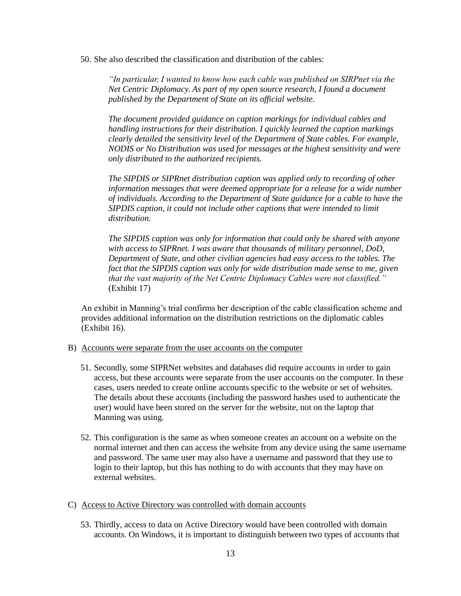50. She also described the classification and distribution of the cables:

*"In particular, I wanted to know how each cable was published on SIRPnet via the Net Centric Diplomacy. As part of my open source research, I found a document published by the Department of State on its official website.*

*The document provided guidance on caption markings for individual cables and handling instructions for their distribution. I quickly learned the caption markings clearly detailed the sensitivity level of the Department of State cables. For example, NODIS or No Distribution was used for messages at the highest sensitivity and were only distributed to the authorized recipients.*

*The SIPDIS or SIPRnet distribution caption was applied only to recording of other information messages that were deemed appropriate for a release for a wide number of individuals. According to the Department of State guidance for a cable to have the SIPDIS caption, it could not include other captions that were intended to limit distribution.*

*The SIPDIS caption was only for information that could only be shared with anyone with access to SIPRnet. I was aware that thousands of military personnel, DoD, Department of State, and other civilian agencies had easy access to the tables. The fact that the SIPDIS caption was only for wide distribution made sense to me, given that the vast majority of the Net Centric Diplomacy Cables were not classified."* (Exhibit 17)

An exhibit in Manning's trial confirms her description of the cable classification scheme and provides additional information on the distribution restrictions on the diplomatic cables (Exhibit 16).

- B) Accounts were separate from the user accounts on the computer
	- 51. Secondly, some SIPRNet websites and databases did require accounts in order to gain access, but these accounts were separate from the user accounts on the computer. In these cases, users needed to create online accounts specific to the website or set of websites. The details about these accounts (including the password hashes used to authenticate the user) would have been stored on the server for the website, not on the laptop that Manning was using.
	- 52. This configuration is the same as when someone creates an account on a website on the normal internet and then can access the website from any device using the same username and password. The same user may also have a username and password that they use to login to their laptop, but this has nothing to do with accounts that they may have on external websites.
- C) Access to Active Directory was controlled with domain accounts
	- 53. Thirdly, access to data on Active Directory would have been controlled with domain accounts. On Windows, it is important to distinguish between two types of accounts that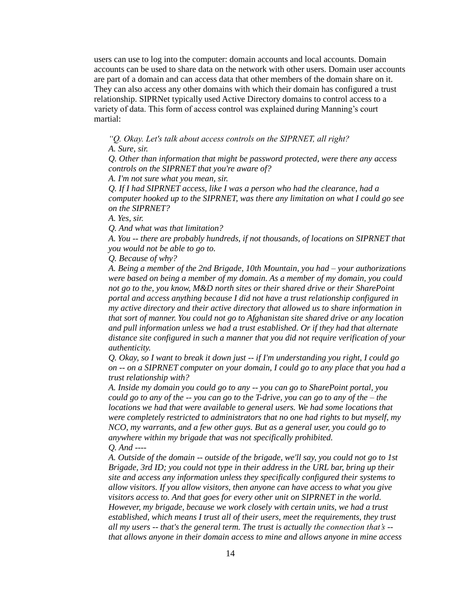users can use to log into the computer: domain accounts and local accounts. Domain accounts can be used to share data on the network with other users. Domain user accounts are part of a domain and can access data that other members of the domain share on it. They can also access any other domains with which their domain has configured a trust relationship. SIPRNet typically used Active Directory domains to control access to a variety of data. This form of access control was explained during Manning's court martial:

*"Q. Okay. Let's talk about access controls on the SIPRNET, all right? A. Sure, sir.*

*Q. Other than information that might be password protected, were there any access controls on the SIPRNET that you're aware of?*

*A. I'm not sure what you mean, sir.*

*Q. If I had SIPRNET access, like I was a person who had the clearance, had a computer hooked up to the SIPRNET, was there any limitation on what I could go see on the SIPRNET?*

*A. Yes, sir.*

*Q. And what was that limitation?*

*A. You -- there are probably hundreds, if not thousands, of locations on SIPRNET that you would not be able to go to.*

*Q. Because of why?*

*A. Being a member of the 2nd Brigade, 10th Mountain, you had – your authorizations were based on being a member of my domain. As a member of my domain, you could not go to the, you know, M&D north sites or their shared drive or their SharePoint portal and access anything because I did not have a trust relationship configured in my active directory and their active directory that allowed us to share information in that sort of manner. You could not go to Afghanistan site shared drive or any location and pull information unless we had a trust established. Or if they had that alternate distance site configured in such a manner that you did not require verification of your authenticity.*

*Q. Okay, so I want to break it down just -- if I'm understanding you right, I could go on -- on a SIPRNET computer on your domain, I could go to any place that you had a trust relationship with?*

*A. Inside my domain you could go to any -- you can go to SharePoint portal, you could go to any of the -- you can go to the T-drive, you can go to any of the – the locations we had that were available to general users. We had some locations that were completely restricted to administrators that no one had rights to but myself, my NCO, my warrants, and a few other guys. But as a general user, you could go to anywhere within my brigade that was not specifically prohibited. Q. And ----*

*A. Outside of the domain -- outside of the brigade, we'll say, you could not go to 1st Brigade, 3rd ID; you could not type in their address in the URL bar, bring up their site and access any information unless they specifically configured their systems to allow visitors. If you allow visitors, then anyone can have access to what you give visitors access to. And that goes for every other unit on SIPRNET in the world. However, my brigade, because we work closely with certain units, we had a trust established, which means I trust all of their users, meet the requirements, they trust all my users -- that's the general term. The trust is actually the connection that's - that allows anyone in their domain access to mine and allows anyone in mine access*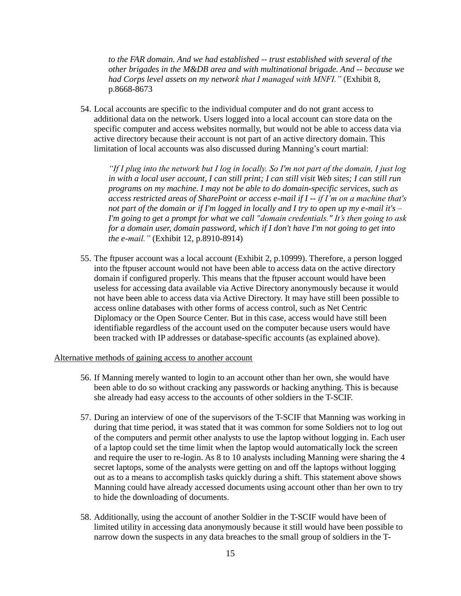*to the FAR domain. And we had established -- trust established with several of the other brigades in the M&DB area and with multinational brigade. And -- because we had Corps level assets on my network that I managed with MNFI."* (Exhibit 8, p.8668-8673

54. Local accounts are specific to the individual computer and do not grant access to additional data on the network. Users logged into a local account can store data on the specific computer and access websites normally, but would not be able to access data via active directory because their account is not part of an active directory domain. This limitation of local accounts was also discussed during Manning's court martial:

*"If I plug into the network but I log in locally. So I'm not part of the domain, I just log in with a local user account, I can still print; I can still visit Web sites; I can still run programs on my machine. I may not be able to do domain-specific services, such as access restricted areas of SharePoint or access e-mail if I -- if I'm on a machine that's not part of the domain or if I'm logged in locally and I try to open up my e-mail it's – I'm going to get a prompt for what we call "domain credentials." It's then going to ask for a domain user, domain password, which if I don't have I'm not going to get into the e-mail."* (Exhibit 12, p.8910-8914)

55. The ftpuser account was a local account (Exhibit 2, p.10999). Therefore, a person logged into the ftpuser account would not have been able to access data on the active directory domain if configured properly. This means that the ftpuser account would have been useless for accessing data available via Active Directory anonymously because it would not have been able to access data via Active Directory. It may have still been possible to access online databases with other forms of access control, such as Net Centric Diplomacy or the Open Source Center. But in this case, access would have still been identifiable regardless of the account used on the computer because users would have been tracked with IP addresses or database-specific accounts (as explained above).

#### Alternative methods of gaining access to another account

- 56. If Manning merely wanted to login to an account other than her own, she would have been able to do so without cracking any passwords or hacking anything. This is because she already had easy access to the accounts of other soldiers in the T-SCIF.
- 57. During an interview of one of the supervisors of the T-SCIF that Manning was working in during that time period, it was stated that it was common for some Soldiers not to log out of the computers and permit other analysts to use the laptop without logging in. Each user of a laptop could set the time limit when the laptop would automatically lock the screen and require the user to re-login. As 8 to 10 analysts including Manning were sharing the 4 secret laptops, some of the analysts were getting on and off the laptops without logging out as to a means to accomplish tasks quickly during a shift. This statement above shows Manning could have already accessed documents using account other than her own to try to hide the downloading of documents.
- 58. Additionally, using the account of another Soldier in the T-SCIF would have been of limited utility in accessing data anonymously because it still would have been possible to narrow down the suspects in any data breaches to the small group of soldiers in the T-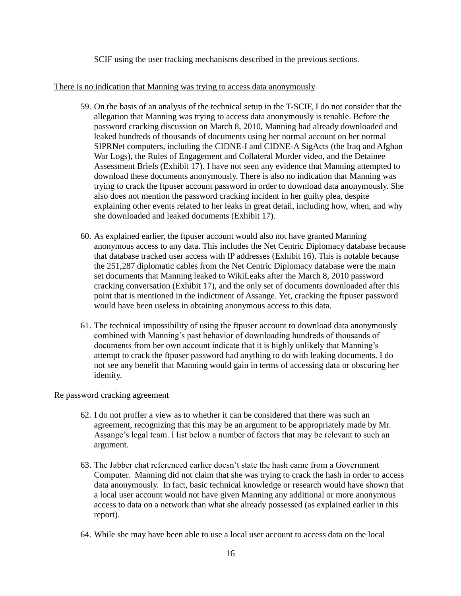SCIF using the user tracking mechanisms described in the previous sections.

# There is no indication that Manning was trying to access data anonymously

- 59. On the basis of an analysis of the technical setup in the T-SCIF, I do not consider that the allegation that Manning was trying to access data anonymously is tenable. Before the password cracking discussion on March 8, 2010, Manning had already downloaded and leaked hundreds of thousands of documents using her normal account on her normal SIPRNet computers, including the CIDNE-I and CIDNE-A SigActs (the Iraq and Afghan War Logs), the Rules of Engagement and Collateral Murder video, and the Detainee Assessment Briefs (Exhibit 17). I have not seen any evidence that Manning attempted to download these documents anonymously. There is also no indication that Manning was trying to crack the ftpuser account password in order to download data anonymously. She also does not mention the password cracking incident in her guilty plea, despite explaining other events related to her leaks in great detail, including how, when, and why she downloaded and leaked documents (Exhibit 17).
- 60. As explained earlier, the ftpuser account would also not have granted Manning anonymous access to any data. This includes the Net Centric Diplomacy database because that database tracked user access with IP addresses (Exhibit 16). This is notable because the 251,287 diplomatic cables from the Net Centric Diplomacy database were the main set documents that Manning leaked to WikiLeaks after the March 8, 2010 password cracking conversation (Exhibit 17), and the only set of documents downloaded after this point that is mentioned in the indictment of Assange. Yet, cracking the ftpuser password would have been useless in obtaining anonymous access to this data.
- 61. The technical impossibility of using the ftpuser account to download data anonymously combined with Manning's past behavior of downloading hundreds of thousands of documents from her own account indicate that it is highly unlikely that Manning's attempt to crack the ftpuser password had anything to do with leaking documents. I do not see any benefit that Manning would gain in terms of accessing data or obscuring her identity.

# Re password cracking agreement

- 62. I do not proffer a view as to whether it can be considered that there was such an agreement, recognizing that this may be an argument to be appropriately made by Mr. Assange's legal team. I list below a number of factors that may be relevant to such an argument.
- 63. The Jabber chat referenced earlier doesn't state the hash came from a Government Computer. Manning did not claim that she was trying to crack the hash in order to access data anonymously. In fact, basic technical knowledge or research would have shown that a local user account would not have given Manning any additional or more anonymous access to data on a network than what she already possessed (as explained earlier in this report).
- 64. While she may have been able to use a local user account to access data on the local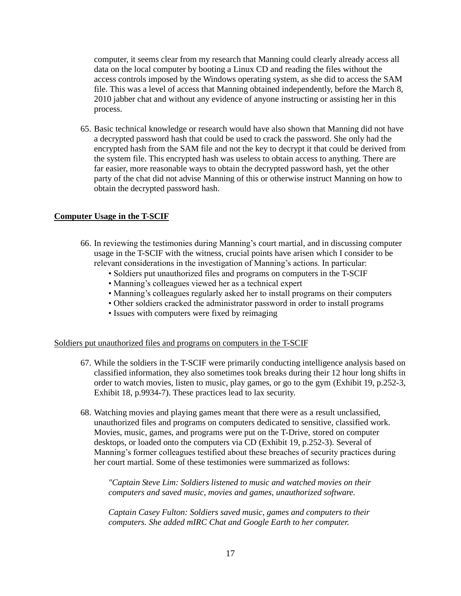computer, it seems clear from my research that Manning could clearly already access all data on the local computer by booting a Linux CD and reading the files without the access controls imposed by the Windows operating system, as she did to access the SAM file. This was a level of access that Manning obtained independently, before the March 8, 2010 jabber chat and without any evidence of anyone instructing or assisting her in this process.

65. Basic technical knowledge or research would have also shown that Manning did not have a decrypted password hash that could be used to crack the password. She only had the encrypted hash from the SAM file and not the key to decrypt it that could be derived from the system file. This encrypted hash was useless to obtain access to anything. There are far easier, more reasonable ways to obtain the decrypted password hash, yet the other party of the chat did not advise Manning of this or otherwise instruct Manning on how to obtain the decrypted password hash.

# **Computer Usage in the T-SCIF**

- 66. In reviewing the testimonies during Manning's court martial, and in discussing computer usage in the T-SCIF with the witness, crucial points have arisen which I consider to be relevant considerations in the investigation of Manning's actions. In particular:
	- Soldiers put unauthorized files and programs on computers in the T-SCIF
	- Manning's colleagues viewed her as a technical expert
	- Manning's colleagues regularly asked her to install programs on their computers
	- Other soldiers cracked the administrator password in order to install programs
	- Issues with computers were fixed by reimaging

## Soldiers put unauthorized files and programs on computers in the T-SCIF

- 67. While the soldiers in the T-SCIF were primarily conducting intelligence analysis based on classified information, they also sometimes took breaks during their 12 hour long shifts in order to watch movies, listen to music, play games, or go to the gym (Exhibit 19, p.252-3, Exhibit 18, p.9934-7). These practices lead to lax security.
- 68. Watching movies and playing games meant that there were as a result unclassified, unauthorized files and programs on computers dedicated to sensitive, classified work. Movies, music, games, and programs were put on the T-Drive, stored on computer desktops, or loaded onto the computers via CD (Exhibit 19, p.252-3). Several of Manning's former colleagues testified about these breaches of security practices during her court martial. Some of these testimonies were summarized as follows:

*"Captain Steve Lim: Soldiers listened to music and watched movies on their computers and saved music, movies and games, unauthorized software.*

*Captain Casey Fulton: Soldiers saved music, games and computers to their computers. She added mIRC Chat and Google Earth to her computer.*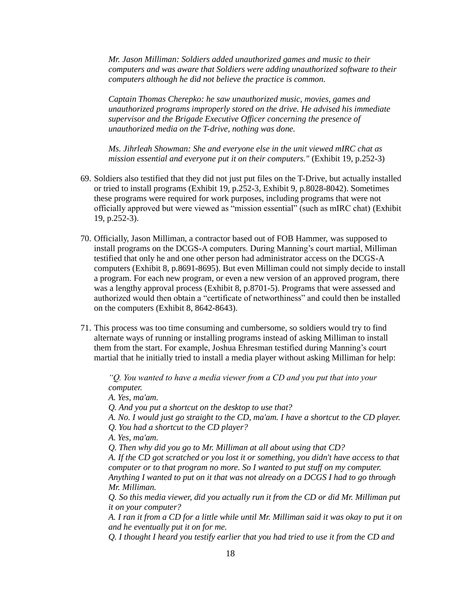*Mr. Jason Milliman: Soldiers added unauthorized games and music to their computers and was aware that Soldiers were adding unauthorized software to their computers although he did not believe the practice is common.*

*Captain Thomas Cherepko: he saw unauthorized music, movies, games and unauthorized programs improperly stored on the drive. He advised his immediate supervisor and the Brigade Executive Officer concerning the presence of unauthorized media on the T-drive, nothing was done.*

*Ms. Jihrleah Showman: She and everyone else in the unit viewed mIRC chat as mission essential and everyone put it on their computers."* (Exhibit 19, p.252-3)

- 69. Soldiers also testified that they did not just put files on the T-Drive, but actually installed or tried to install programs (Exhibit 19, p.252-3, Exhibit 9, p.8028-8042). Sometimes these programs were required for work purposes, including programs that were not officially approved but were viewed as "mission essential" (such as mIRC chat) (Exhibit 19, p.252-3).
- 70. Officially, Jason Milliman, a contractor based out of FOB Hammer, was supposed to install programs on the DCGS-A computers. During Manning's court martial, Milliman testified that only he and one other person had administrator access on the DCGS-A computers (Exhibit 8, p.8691-8695). But even Milliman could not simply decide to install a program. For each new program, or even a new version of an approved program, there was a lengthy approval process (Exhibit 8, p.8701-5). Programs that were assessed and authorized would then obtain a "certificate of networthiness" and could then be installed on the computers (Exhibit 8, 8642-8643).
- 71. This process was too time consuming and cumbersome, so soldiers would try to find alternate ways of running or installing programs instead of asking Milliman to install them from the start. For example, Joshua Ehresman testified during Manning's court martial that he initially tried to install a media player without asking Milliman for help:

*"Q. You wanted to have a media viewer from a CD and you put that into your computer.*

*A. Yes, ma'am.*

*Q. And you put a shortcut on the desktop to use that?*

*A. No. I would just go straight to the CD, ma'am. I have a shortcut to the CD player.*

*Q. You had a shortcut to the CD player?*

*A. Yes, ma'am.*

*Q. Then why did you go to Mr. Milliman at all about using that CD?*

*A. If the CD got scratched or you lost it or something, you didn't have access to that computer or to that program no more. So I wanted to put stuff on my computer. Anything I wanted to put on it that was not already on a DCGS I had to go through Mr. Milliman.*

*Q. So this media viewer, did you actually run it from the CD or did Mr. Milliman put it on your computer?*

*A. I ran it from a CD for a little while until Mr. Milliman said it was okay to put it on and he eventually put it on for me.*

*Q. I thought I heard you testify earlier that you had tried to use it from the CD and*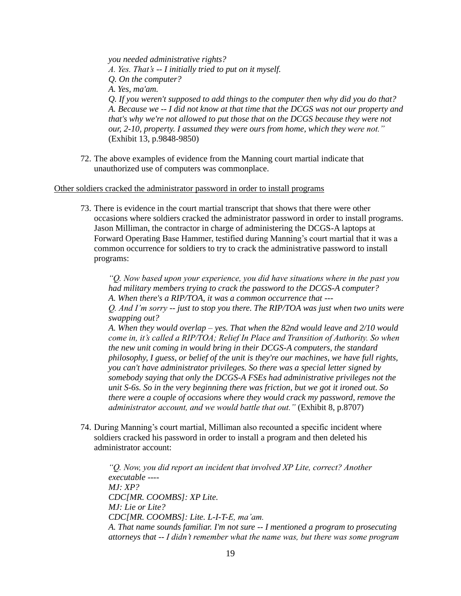*you needed administrative rights? A. Yes. That's -- I initially tried to put on it myself. Q. On the computer? A. Yes, ma'am. Q. If you weren't supposed to add things to the computer then why did you do that? A. Because we -- I did not know at that time that the DCGS was not our property and that's why we're not allowed to put those that on the DCGS because they were not our, 2-10, property. I assumed they were ours from home, which they were not."*  (Exhibit 13, p.9848-9850)

72. The above examples of evidence from the Manning court martial indicate that unauthorized use of computers was commonplace.

#### Other soldiers cracked the administrator password in order to install programs

73. There is evidence in the court martial transcript that shows that there were other occasions where soldiers cracked the administrator password in order to install programs. Jason Milliman, the contractor in charge of administering the DCGS-A laptops at Forward Operating Base Hammer, testified during Manning's court martial that it was a common occurrence for soldiers to try to crack the administrative password to install programs:

*"Q. Now based upon your experience, you did have situations where in the past you had military members trying to crack the password to the DCGS-A computer? A. When there's a RIP/TOA, it was a common occurrence that --- Q. And I'm sorry -- just to stop you there. The RIP/TOA was just when two units were swapping out? A. When they would overlap – yes. That when the 82nd would leave and 2/10 would come in, it's called a RIP/TOA; Relief In Place and Transition of Authority. So when the new unit coming in would bring in their DCGS-A computers, the standard philosophy, I guess, or belief of the unit is they're our machines, we have full rights, you can't have administrator privileges. So there was a special letter signed by somebody saying that only the DCGS-A FSEs had administrative privileges not the unit S-6s. So in the very beginning there was friction, but we got it ironed out. So there were a couple of occasions where they would crack my password, remove the administrator account, and we would battle that out."* (Exhibit 8, p.8707)

74. During Manning's court martial, Milliman also recounted a specific incident where soldiers cracked his password in order to install a program and then deleted his administrator account:

*"Q. Now, you did report an incident that involved XP Lite, correct? Another executable ---- MJ: XP? CDC[MR. COOMBS]: XP Lite. MJ: Lie or Lite? CDC[MR. COOMBS]: Lite. L-I-T-E, ma'am. A. That name sounds familiar. I'm not sure -- I mentioned a program to prosecuting attorneys that -- I didn't remember what the name was, but there was some program*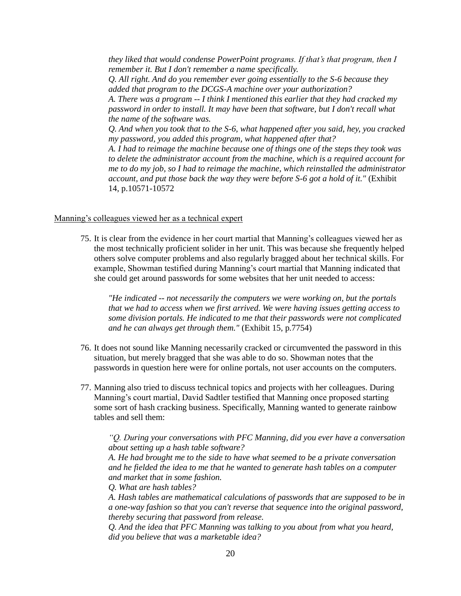*they liked that would condense PowerPoint programs. If that's that program, then I remember it. But I don't remember a name specifically. Q. All right. And do you remember ever going essentially to the S-6 because they added that program to the DCGS-A machine over your authorization? A. There was a program -- I think I mentioned this earlier that they had cracked my password in order to install. It may have been that software, but I don't recall what the name of the software was. Q. And when you took that to the S-6, what happened after you said, hey, you cracked my password, you added this program, what happened after that? A. I had to reimage the machine because one of things one of the steps they took was to delete the administrator account from the machine, which is a required account for me to do my job, so I had to reimage the machine, which reinstalled the administrator account, and put those back the way they were before S-6 got a hold of it."* (Exhibit 14, p.10571-10572

#### Manning's colleagues viewed her as a technical expert

75. It is clear from the evidence in her court martial that Manning's colleagues viewed her as the most technically proficient solider in her unit. This was because she frequently helped others solve computer problems and also regularly bragged about her technical skills. For example, Showman testified during Manning's court martial that Manning indicated that she could get around passwords for some websites that her unit needed to access:

*"He indicated -- not necessarily the computers we were working on, but the portals that we had to access when we first arrived. We were having issues getting access to some division portals. He indicated to me that their passwords were not complicated and he can always get through them."* (Exhibit 15, p.7754)

- 76. It does not sound like Manning necessarily cracked or circumvented the password in this situation, but merely bragged that she was able to do so. Showman notes that the passwords in question here were for online portals, not user accounts on the computers.
- 77. Manning also tried to discuss technical topics and projects with her colleagues. During Manning's court martial, David Sadtler testified that Manning once proposed starting some sort of hash cracking business. Specifically, Manning wanted to generate rainbow tables and sell them:

*"Q. During your conversations with PFC Manning, did you ever have a conversation about setting up a hash table software?*

*A. He had brought me to the side to have what seemed to be a private conversation and he fielded the idea to me that he wanted to generate hash tables on a computer and market that in some fashion.*

*Q. What are hash tables?*

*A. Hash tables are mathematical calculations of passwords that are supposed to be in a one-way fashion so that you can't reverse that sequence into the original password, thereby securing that password from release.*

*Q. And the idea that PFC Manning was talking to you about from what you heard, did you believe that was a marketable idea?*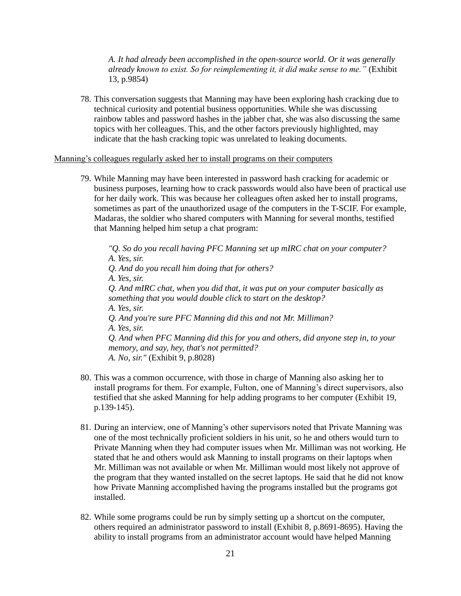*A. It had already been accomplished in the open-source world. Or it was generally already known to exist. So for reimplementing it, it did make sense to me."* (Exhibit 13, p.9854)

78. This conversation suggests that Manning may have been exploring hash cracking due to technical curiosity and potential business opportunities. While she was discussing rainbow tables and password hashes in the jabber chat, she was also discussing the same topics with her colleagues. This, and the other factors previously highlighted, may indicate that the hash cracking topic was unrelated to leaking documents.

#### Manning's colleagues regularly asked her to install programs on their computers

79. While Manning may have been interested in password hash cracking for academic or business purposes, learning how to crack passwords would also have been of practical use for her daily work. This was because her colleagues often asked her to install programs, sometimes as part of the unauthorized usage of the computers in the T-SCIF. For example, Madaras, the soldier who shared computers with Manning for several months, testified that Manning helped him setup a chat program:

*"Q. So do you recall having PFC Manning set up mIRC chat on your computer? A. Yes, sir. Q. And do you recall him doing that for others? A. Yes, sir. Q. And mIRC chat, when you did that, it was put on your computer basically as something that you would double click to start on the desktop? A. Yes, sir. Q. And you're sure PFC Manning did this and not Mr. Milliman? A. Yes, sir. Q. And when PFC Manning did this for you and others, did anyone step in, to your memory, and say, hey, that's not permitted? A. No, sir."* (Exhibit 9, p.8028)

- 80. This was a common occurrence, with those in charge of Manning also asking her to install programs for them. For example, Fulton, one of Manning's direct supervisors, also testified that she asked Manning for help adding programs to her computer (Exhibit 19, p.139-145).
- 81. During an interview, one of Manning's other supervisors noted that Private Manning was one of the most technically proficient soldiers in his unit, so he and others would turn to Private Manning when they had computer issues when Mr. Milliman was not working. He stated that he and others would ask Manning to install programs on their laptops when Mr. Milliman was not available or when Mr. Milliman would most likely not approve of the program that they wanted installed on the secret laptops. He said that he did not know how Private Manning accomplished having the programs installed but the programs got installed.
- 82. While some programs could be run by simply setting up a shortcut on the computer, others required an administrator password to install (Exhibit 8, p.8691-8695). Having the ability to install programs from an administrator account would have helped Manning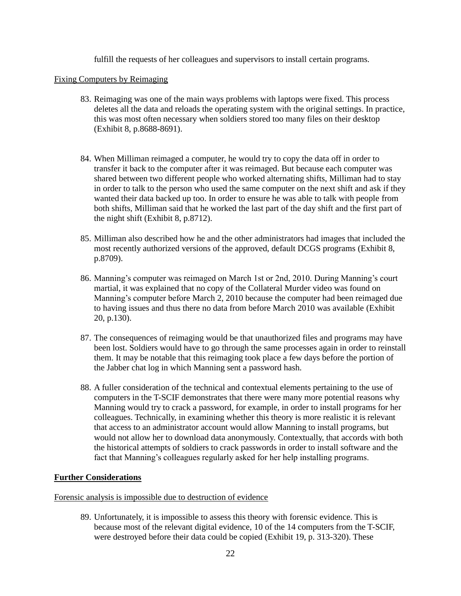fulfill the requests of her colleagues and supervisors to install certain programs.

# Fixing Computers by Reimaging

- 83. Reimaging was one of the main ways problems with laptops were fixed. This process deletes all the data and reloads the operating system with the original settings. In practice, this was most often necessary when soldiers stored too many files on their desktop (Exhibit 8, p.8688-8691).
- 84. When Milliman reimaged a computer, he would try to copy the data off in order to transfer it back to the computer after it was reimaged. But because each computer was shared between two different people who worked alternating shifts, Milliman had to stay in order to talk to the person who used the same computer on the next shift and ask if they wanted their data backed up too. In order to ensure he was able to talk with people from both shifts, Milliman said that he worked the last part of the day shift and the first part of the night shift (Exhibit 8, p.8712).
- 85. Milliman also described how he and the other administrators had images that included the most recently authorized versions of the approved, default DCGS programs (Exhibit 8, p.8709).
- 86. Manning's computer was reimaged on March 1st or 2nd, 2010. During Manning's court martial, it was explained that no copy of the Collateral Murder video was found on Manning's computer before March 2, 2010 because the computer had been reimaged due to having issues and thus there no data from before March 2010 was available (Exhibit 20, p.130).
- 87. The consequences of reimaging would be that unauthorized files and programs may have been lost. Soldiers would have to go through the same processes again in order to reinstall them. It may be notable that this reimaging took place a few days before the portion of the Jabber chat log in which Manning sent a password hash.
- 88. A fuller consideration of the technical and contextual elements pertaining to the use of computers in the T-SCIF demonstrates that there were many more potential reasons why Manning would try to crack a password, for example, in order to install programs for her colleagues. Technically, in examining whether this theory is more realistic it is relevant that access to an administrator account would allow Manning to install programs, but would not allow her to download data anonymously. Contextually, that accords with both the historical attempts of soldiers to crack passwords in order to install software and the fact that Manning's colleagues regularly asked for her help installing programs.

# **Further Considerations**

## Forensic analysis is impossible due to destruction of evidence

89. Unfortunately, it is impossible to assess this theory with forensic evidence. This is because most of the relevant digital evidence, 10 of the 14 computers from the T-SCIF, were destroyed before their data could be copied (Exhibit 19, p. 313-320). These